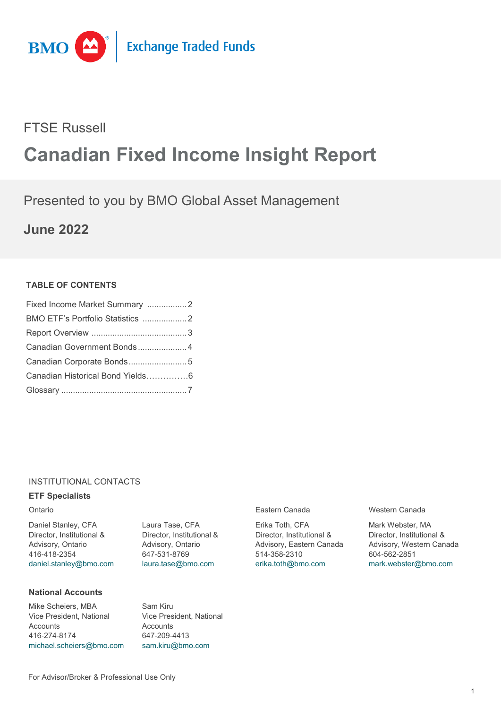

# FTSE Russell

# **Canadian Fixed Income Insight Report**

# Presented to you by BMO Global Asset Management

**June 2022**

# **TABLE OF CONTENTS**

| Canadian Government Bonds 4      |  |
|----------------------------------|--|
| Canadian Corporate Bonds 5       |  |
| Canadian Historical Bond Yields6 |  |
|                                  |  |

# INSTITUTIONAL CONTACTS

# **ETF Specialists**

Daniel Stanley, CFA Director, Institutional & Advisory, Ontario 416-418-2354 [daniel.stanley@bmo.com](mailto:daniel.stanley@bmo.com)

**National Accounts**

Mike Scheiers, MBA Vice President, National **Accounts** 416-274-8174 [michael.scheiers@bmo.com](mailto:michael.scheiers@bmo.com) Laura Tase, CFA Director, Institutional & Advisory, Ontario 647-531-8769 [laura.tase@bmo.com](mailto:laura.tase@bmo.com)

Vice President, National

Sam Kiru

**Accounts** 647-209-4413 [sam.kiru@bmo.com](mailto:sam.kiru@bmo.com)

Erika Toth, CFA Director, Institutional & Advisory, Eastern Canada 514-358-2310 [erika.toth@bmo.com](mailto:erika.toth@bmo.com)

Ontario Eastern Canada Western Canada

Mark Webster, MA Director, Institutional & Advisory, Western Canada 604-562-2851 [mark.webster@bmo.com](mailto:mark.webster@bmo.com)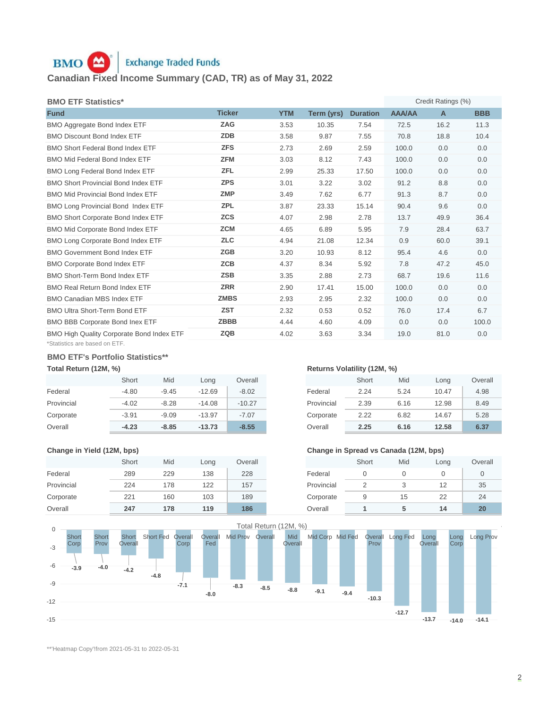# **Exchange Traded Funds** BMO **A Canadian Fixed Income Summary (CAD, TR) as of May 31, 2022**

| <b>BMO ETF Statistics*</b>                       |               |            |            |                 |               | Credit Ratings (%) |            |
|--------------------------------------------------|---------------|------------|------------|-----------------|---------------|--------------------|------------|
| <b>Fund</b>                                      | <b>Ticker</b> | <b>YTM</b> | Term (yrs) | <b>Duration</b> | <b>AAA/AA</b> | $\mathsf{A}$       | <b>BBB</b> |
| BMO Aggregate Bond Index ETF                     | <b>ZAG</b>    | 3.53       | 10.35      | 7.54            | 72.5          | 16.2               | 11.3       |
| <b>BMO Discount Bond Index ETF</b>               | <b>ZDB</b>    | 3.58       | 9.87       | 7.55            | 70.8          | 18.8               | 10.4       |
| <b>BMO Short Federal Bond Index ETF</b>          | <b>ZFS</b>    | 2.73       | 2.69       | 2.59            | 100.0         | 0.0                | 0.0        |
| <b>BMO Mid Federal Bond Index ETF</b>            | <b>ZFM</b>    | 3.03       | 8.12       | 7.43            | 100.0         | 0.0                | 0.0        |
| <b>BMO Long Federal Bond Index ETF</b>           | <b>ZFL</b>    | 2.99       | 25.33      | 17.50           | 100.0         | 0.0                | 0.0        |
| <b>BMO Short Provincial Bond Index ETF</b>       | <b>ZPS</b>    | 3.01       | 3.22       | 3.02            | 91.2          | 8.8                | 0.0        |
| <b>BMO Mid Provincial Bond Index ETF</b>         | <b>ZMP</b>    | 3.49       | 7.62       | 6.77            | 91.3          | 8.7                | 0.0        |
| BMO Long Provincial Bond Index ETF               | <b>ZPL</b>    | 3.87       | 23.33      | 15.14           | 90.4          | 9.6                | 0.0        |
| BMO Short Corporate Bond Index ETF               | <b>ZCS</b>    | 4.07       | 2.98       | 2.78            | 13.7          | 49.9               | 36.4       |
| <b>BMO Mid Corporate Bond Index ETF</b>          | <b>ZCM</b>    | 4.65       | 6.89       | 5.95            | 7.9           | 28.4               | 63.7       |
| <b>BMO Long Corporate Bond Index ETF</b>         | <b>ZLC</b>    | 4.94       | 21.08      | 12.34           | 0.9           | 60.0               | 39.1       |
| <b>BMO Government Bond Index ETF</b>             | <b>ZGB</b>    | 3.20       | 10.93      | 8.12            | 95.4          | 4.6                | 0.0        |
| <b>BMO Corporate Bond Index ETF</b>              | <b>ZCB</b>    | 4.37       | 8.34       | 5.92            | 7.8           | 47.2               | 45.0       |
| BMO Short-Term Bond Index ETF                    | <b>ZSB</b>    | 3.35       | 2.88       | 2.73            | 68.7          | 19.6               | 11.6       |
| <b>BMO Real Return Bond Index ETF</b>            | <b>ZRR</b>    | 2.90       | 17.41      | 15.00           | 100.0         | 0.0                | 0.0        |
| <b>BMO Canadian MBS Index ETF</b>                | <b>ZMBS</b>   | 2.93       | 2.95       | 2.32            | 100.0         | 0.0                | 0.0        |
| <b>BMO Ultra Short-Term Bond ETF</b>             | <b>ZST</b>    | 2.32       | 0.53       | 0.52            | 76.0          | 17.4               | 6.7        |
| <b>BMO BBB Corporate Bond Inex ETF</b>           | <b>ZBBB</b>   | 4.44       | 4.60       | 4.09            | 0.0           | 0.0                | 100.0      |
| <b>BMO High Quality Corporate Bond Index ETF</b> | <b>ZQB</b>    | 4.02       | 3.63       | 3.34            | 19.0          | 81.0               | 0.0        |
| *Statistics are based on ETF.                    |               |            |            |                 |               |                    |            |

## **BMO ETF's Portfolio Statistics\*\***

|            | Short   | Mid     | Long     | Overall  |            | Short | Mid  | Long  | Overa |
|------------|---------|---------|----------|----------|------------|-------|------|-------|-------|
| Federal    | $-4.80$ | $-9.45$ | $-12.69$ | $-8.02$  | Federal    | 2.24  | 5.24 | 10.47 |       |
| Provincial | $-4.02$ | $-8.28$ | $-14.08$ | $-10.27$ | Provincial | 2.39  | 6.16 | 12.98 |       |
| Corporate  | $-3.91$ | $-9.09$ | $-13.97$ | $-7.07$  | Corporate  | 2.22  | 6.82 | 14.67 |       |
| Overall    | $-4.23$ | $-8.85$ | $-13.73$ | $-8.55$  | Overall    | 2.25  | 6.16 | 12.58 |       |

|            | Short | Mid | Long | Overall |            | Short | Mid | Long | Over |
|------------|-------|-----|------|---------|------------|-------|-----|------|------|
| Federal    | 289   | 229 | 138  | 228     | Federal    |       |     |      |      |
| Provincial | 224   | 178 | 122  | 157     | Provincial |       |     | 12   | 35   |
| Corporate  | 221   | 160 | 103  | 189     | Corporate  |       | 15  | 22   | 24   |
| Overall    | 247   | 178 | 119  | 186     | Overall    |       |     | 14   | 20   |

# **Total Return (12M, %) Returns Volatility (12M, %) Returns Volatility (12M, %)**

| Short   | Mid     | Long     | Overall  |            | Short | Mid  | Long  | Overall |
|---------|---------|----------|----------|------------|-------|------|-------|---------|
| $-4.80$ | $-9.45$ | $-12.69$ | $-8.02$  | Federal    | 2.24  | 5.24 | 10.47 | 4.98    |
| $-4.02$ | $-8.28$ | $-14.08$ | $-10.27$ | Provincial | 2.39  | 6.16 | 12.98 | 8.49    |
| $-3.91$ | $-9.09$ | $-13.97$ | $-7.07$  | Corporate  | 2.22  | 6.82 | 14.67 | 5.28    |
| $-4.23$ | $-8.85$ | $-13.73$ | $-8.55$  | Overall    | 2.25  | 6.16 | 12.58 | 6.37    |

## **Change in Yield (12M, bps) Change in Spread vs Canada (12M, bps)**

| Short | Mid | Long | Overall |            | Short | Mid | Long | Overall |
|-------|-----|------|---------|------------|-------|-----|------|---------|
| 289   | 229 | 138  | 228     | Federal    |       |     |      |         |
| 224   | 178 | 122  | 157     | Provincial |       |     | 12   | 35      |
| 221   | 160 | 103  | 189     | Corporate  | 9     | 15  | 22   | 24      |
| 247   | 178 | 119  | 186     | Overall    |       |     | 14   | 20      |



\*\*'Heatmap Copy'!from 2021-05-31 to 2022-05-31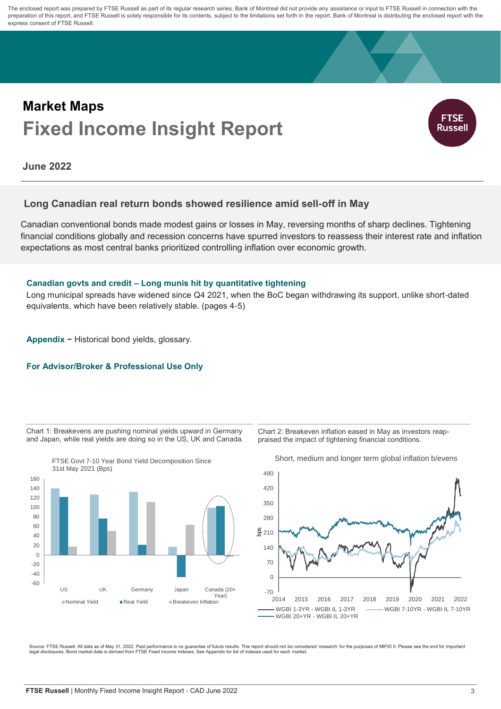The enclosed report was prepared by FTSE Russell as part of its regular research series. Bank of Montreal did not provide any assistance or input to FTSE Russell in connection with the preparation of this report, and FTSE Russell is solely responsible for its contents, subject to the limitations set forth in the report. Bank of Montreal is distributing the enclosed report with the express consent of FTSE Russell.

# **Fixed Income Insight Report Market Maps**



**June 2022**

# **Long Canadian real return bonds showed resilience amid sell-off in May**

Canadian conventional bonds made modest gains or losses in May, reversing months of sharp declines. Tightening financial conditions globally and recession concerns have spurred investors to reassess their interest rate and inflation expectations as most central banks prioritized controlling inflation over economic growth.

# **Canadian govts and credit – Long munis hit by quantitative tightening**

Long municipal spreads have widened since Q4 2021, when the BoC began withdrawing its support, unlike short-dated equivalents, which have been relatively stable. (pages 4-5)

**Appendix −** Historical bond yields, glossary.

# **For Advisor/Broker & Professional Use Only**

Chart 1: Breakevens are pushing nominal yields upward in Germany and Japan, while real yields are doing so in the US, UK and Canada.



Chart 2: Breakeven inflation eased in May as investors reappraised the impact of tightening financial conditions.



Short, medium and longer term global inflation b/evens

Source: FTSE Russell. All data as of May 31, 2022. Past performance is no guarantee of future results. This report should not be considered 'research' for the purposes of MIFID II. Please see the end for important<br>legal di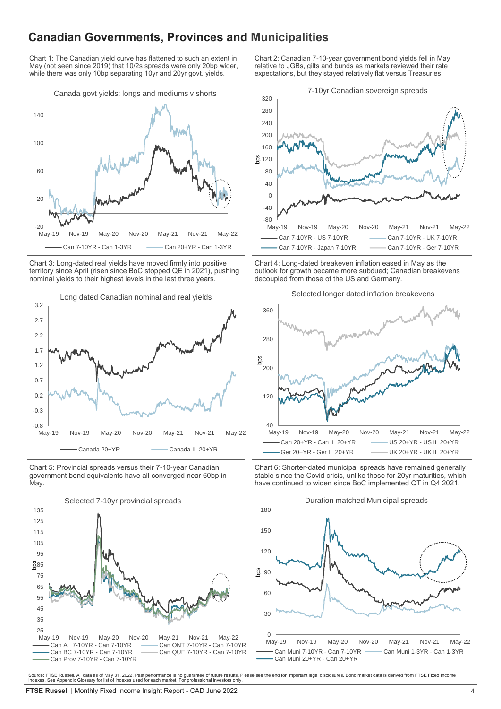# **Canadian Governments, Provinces and Municipalities**

Chart 1: The Canadian yield curve has flattened to such an extent in May (not seen since 2019) that 10/2s spreads were only 20bp wider, while there was only 10bp separating 10yr and 20yr govt. yields.



Chart 3: Long-dated real yields have moved firmly into positive territory since April (risen since BoC stopped QE in 2021), pushing nominal yields to their highest levels in the last three years.



Chart 5: Provincial spreads versus their 7-10-year Canadian government bond equivalents have all converged near 60bp in **May** 



Chart 2: Canadian 7-10-year government bond yields fell in May relative to JGBs, gilts and bunds as markets reviewed their rate expectations, but they stayed relatively flat versus Treasuries.



Chart 4: Long-dated breakeven inflation eased in May as the outlook for growth became more subdued; Canadian breakevens decoupled from those of the US and Germany.



Chart 6: Shorter-dated municipal spreads have remained generally stable since the Covid crisis, unlike those for 20yr maturities, which have continued to widen since BoC implemented QT in Q4 2021.



Source: FTSE Russell. All data as of May 31, 2022. Past performance is no guarantee of future results. Please see the end for important legal disclosures. Bond market data is derived from FTSE Fixed Income<br>Indexes. See App

Selected longer dated inflation breakevens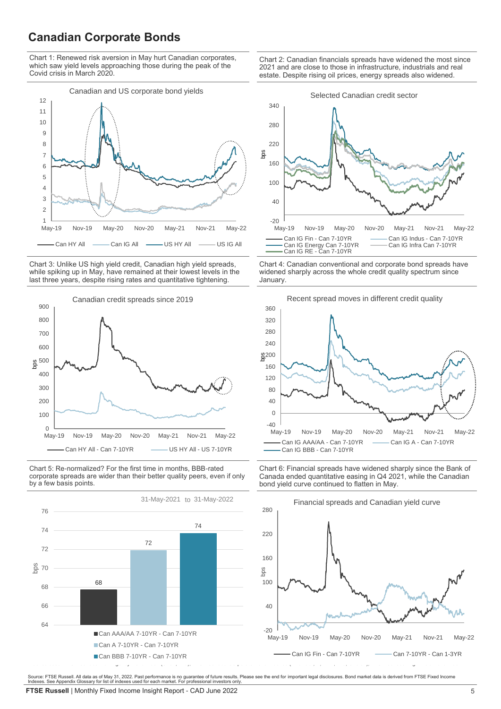# **Canadian Corporate Bonds**

Chart 1: Renewed risk aversion in May hurt Canadian corporates, which saw yield levels approaching those during the peak of the Covid crisis in March 2020.



Chart 3: Unlike US high yield credit, Canadian high yield spreads, while spiking up in May, have remained at their lowest levels in the last three years, despite rising rates and quantitative tightening.



Chart 5: Re-normalized? For the first time in months, BBB-rated corporate spreads are wider than their better quality peers, even if only by a few basis points.



Chart 2: Canadian financials spreads have widened the most since 2021 and are close to those in infrastructure, industrials and real estate. Despite rising oil prices, energy spreads also widened.



Chart 4: Canadian conventional and corporate bond spreads have widened sharply across the whole credit quality spectrum since January.



Chart 6: Financial spreads have widened sharply since the Bank of Canada ended quantitative easing in Q4 2021, while the Canadian bond yield curve continued to flatten in May.



Source: FTSE Russell. All data as of May 31, 2022. Past performance is no guarantee of future results. Please see the end for important legal disclosures. Bond market data is derived from FTSE Fixed Income Indexes. See Appendix Glossary for list of indexes used for each market. For professional investors only.

**FTSE Russell** | Monthly Fixed Income Insight Report - CAD June 2022 **5 5**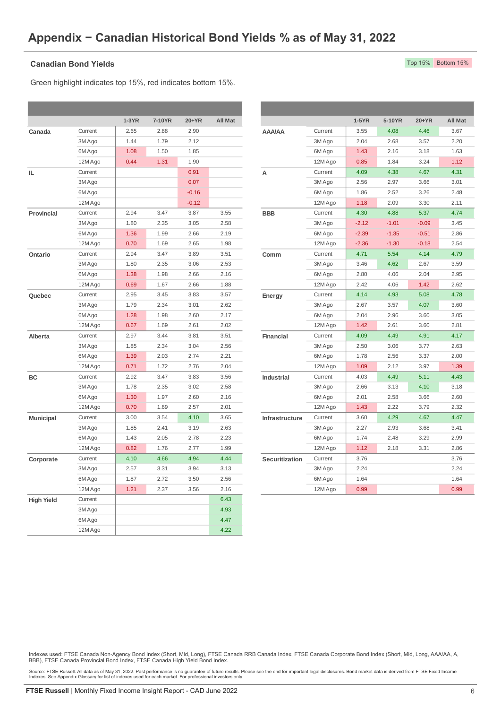## **Canadian Bond Yields**

Green highlight indicates top 15%, red indicates bottom 15%.

|                   |         | $1-3YR$ | 7-10YR | 20+YR   | All Mat |                  |         | $1-5YR$ | 5-10YR  | 20+YR   | All Ma |
|-------------------|---------|---------|--------|---------|---------|------------------|---------|---------|---------|---------|--------|
| Canada            | Current | 2.65    | 2.88   | 2.90    |         | <b>AAA/AA</b>    | Current | 3.55    | 4.08    | 4.46    | 3.67   |
|                   | 3M Ago  | 1.44    | 1.79   | 2.12    |         |                  | 3M Ago  | 2.04    | 2.68    | 3.57    | 2.20   |
|                   | 6M Ago  | 1.08    | 1.50   | 1.85    |         |                  | 6M Ago  | 1.43    | 2.16    | 3.18    | 1.63   |
|                   | 12M Ago | 0.44    | 1.31   | 1.90    |         |                  | 12M Ago | 0.85    | 1.84    | 3.24    | 1.12   |
| IL.               | Current |         |        | 0.91    |         | A                | Current | 4.09    | 4.38    | 4.67    | 4.31   |
|                   | 3M Ago  |         |        | 0.07    |         |                  | 3M Ago  | 2.56    | 2.97    | 3.66    | 3.01   |
|                   | 6M Ago  |         |        | $-0.16$ |         |                  | 6M Ago  | 1.86    | 2.52    | 3.26    | 2.48   |
|                   | 12M Ago |         |        | $-0.12$ |         |                  | 12M Ago | 1.18    | 2.09    | 3.30    | 2.11   |
| Provincial        | Current | 2.94    | 3.47   | 3.87    | 3.55    | <b>BBB</b>       | Current | 4.30    | 4.88    | 5.37    | 4.74   |
|                   | 3M Ago  | 1.80    | 2.35   | 3.05    | 2.58    |                  | 3M Ago  | $-2.12$ | $-1.01$ | $-0.09$ | 3.45   |
|                   | 6M Ago  | 1.36    | 1.99   | 2.66    | 2.19    |                  | 6M Ago  | $-2.39$ | $-1.35$ | $-0.51$ | 2.86   |
|                   | 12M Ago | 0.70    | 1.69   | 2.65    | 1.98    |                  | 12M Ago | $-2.36$ | $-1.30$ | $-0.18$ | 2.54   |
| Ontario           | Current | 2.94    | 3.47   | 3.89    | 3.51    | Comm             | Current | 4.71    | 5.54    | 4.14    | 4.79   |
|                   | 3M Ago  | 1.80    | 2.35   | 3.06    | 2.53    |                  | 3M Ago  | 3.46    | 4.62    | 2.67    | 3.59   |
|                   | 6M Ago  | 1.38    | 1.98   | 2.66    | 2.16    |                  | 6M Ago  | 2.80    | 4.06    | 2.04    | 2.95   |
|                   | 12M Ago | 0.69    | 1.67   | 2.66    | 1.88    |                  | 12M Ago | 2.42    | 4.06    | 1.42    | 2.62   |
| Quebec            | Current | 2.95    | 3.45   | 3.83    | 3.57    | Energy           | Current | 4.14    | 4.93    | 5.08    | 4.78   |
|                   | 3M Ago  | 1.79    | 2.34   | 3.01    | 2.62    |                  | 3M Ago  | 2.67    | 3.57    | 4.07    | 3.60   |
|                   | 6M Ago  | 1.28    | 1.98   | 2.60    | 2.17    |                  | 6M Ago  | 2.04    | 2.96    | 3.60    | 3.05   |
|                   | 12M Ago | 0.67    | 1.69   | 2.61    | 2.02    |                  | 12M Ago | 1.42    | 2.61    | 3.60    | 2.81   |
| Alberta           | Current | 2.97    | 3.44   | 3.81    | 3.51    | <b>Financial</b> | Current | 4.09    | 4.49    | 4.91    | 4.17   |
|                   | 3M Ago  | 1.85    | 2.34   | 3.04    | 2.56    |                  | 3M Ago  | 2.50    | 3.06    | 3.77    | 2.63   |
|                   | 6M Ago  | 1.39    | 2.03   | 2.74    | 2.21    |                  | 6M Ago  | 1.78    | 2.56    | 3.37    | 2.00   |
|                   | 12M Ago | 0.71    | 1.72   | 2.76    | 2.04    |                  | 12M Ago | 1.09    | 2.12    | 3.97    | 1.39   |
| BC                | Current | 2.92    | 3.47   | 3.83    | 3.56    | Industrial       | Current | 4.03    | 4.49    | 5.11    | 4.43   |
|                   | 3M Ago  | 1.78    | 2.35   | 3.02    | 2.58    |                  | 3M Ago  | 2.66    | 3.13    | 4.10    | 3.18   |
|                   | 6M Ago  | 1.30    | 1.97   | 2.60    | 2.16    |                  | 6M Ago  | 2.01    | 2.58    | 3.66    | 2.60   |
|                   | 12M Ago | 0.70    | 1.69   | 2.57    | 2.01    |                  | 12M Ago | 1.43    | 2.22    | 3.79    | 2.32   |
| <b>Municipal</b>  | Current | 3.00    | 3.54   | 4.10    | 3.65    | Infrastructure   | Current | 3.60    | 4.29    | 4.67    | 4.47   |
|                   | 3M Ago  | 1.85    | 2.41   | 3.19    | 2.63    |                  | 3M Ago  | 2.27    | 2.93    | 3.68    | 3.41   |
|                   | 6M Ago  | 1.43    | 2.05   | 2.78    | 2.23    |                  | 6M Ago  | 1.74    | 2.48    | 3.29    | 2.99   |
|                   | 12M Ago | 0.82    | 1.76   | 2.77    | 1.99    |                  | 12M Ago | 1.12    | 2.18    | 3.31    | 2.86   |
| Corporate         | Current | 4.10    | 4.66   | 4.94    | 4.44    | Securitization   | Current | 3.76    |         |         | 3.76   |
|                   | 3M Ago  | 2.57    | 3.31   | 3.94    | 3.13    |                  | 3M Ago  | 2.24    |         |         | 2.24   |
|                   | 6M Ago  | 1.87    | 2.72   | 3.50    | 2.56    |                  | 6M Ago  | 1.64    |         |         | 1.64   |
|                   | 12M Ago | 1.21    | 2.37   | 3.56    | 2.16    |                  | 12M Ago | 0.99    |         |         | 0.99   |
| <b>High Yield</b> | Current |         |        |         | 6.43    |                  |         |         |         |         |        |
|                   | 3M Ago  |         |        |         | 4.93    |                  |         |         |         |         |        |
|                   | 6M Ago  |         |        |         | 4.47    |                  |         |         |         |         |        |
|                   | 12M Ago |         |        |         | 4.22    |                  |         |         |         |         |        |

|         | $1-3YR$ | 7-10YR | 20+YR   | All Mat |                   |         | $1-5YR$ | 5-10YR  | 20+YR   | <b>All Mat</b> |
|---------|---------|--------|---------|---------|-------------------|---------|---------|---------|---------|----------------|
| Current | 2.65    | 2.88   | 2.90    |         | <b>AAA/AA</b>     | Current | 3.55    | 4.08    | 4.46    | 3.67           |
| 3M Ago  | 1.44    | 1.79   | 2.12    |         |                   | 3M Ago  | 2.04    | 2.68    | 3.57    | 2.20           |
| 6M Ago  | 1.08    | 1.50   | 1.85    |         |                   | 6M Ago  | 1.43    | 2.16    | 3.18    | 1.63           |
| 12M Ago | 0.44    | 1.31   | 1.90    |         |                   | 12M Ago | 0.85    | 1.84    | 3.24    | 1.12           |
| Current |         |        | 0.91    |         | А                 | Current | 4.09    | 4.38    | 4.67    | 4.31           |
| 3M Ago  |         |        | 0.07    |         |                   | 3M Ago  | 2.56    | 2.97    | 3.66    | 3.01           |
| 6M Ago  |         |        | $-0.16$ |         |                   | 6M Ago  | 1.86    | 2.52    | 3.26    | 2.48           |
| 12M Ago |         |        | $-0.12$ |         |                   | 12M Ago | 1.18    | 2.09    | 3.30    | 2.11           |
| Current | 2.94    | 3.47   | 3.87    | 3.55    | <b>BBB</b>        | Current | 4.30    | 4.88    | 5.37    | 4.74           |
| 3M Ago  | 1.80    | 2.35   | 3.05    | 2.58    |                   | 3M Ago  | $-2.12$ | $-1.01$ | $-0.09$ | 3.45           |
| 6M Ago  | 1.36    | 1.99   | 2.66    | 2.19    |                   | 6M Ago  | $-2.39$ | $-1.35$ | $-0.51$ | 2.86           |
| 12M Ago | 0.70    | 1.69   | 2.65    | 1.98    |                   | 12M Ago | $-2.36$ | $-1.30$ | $-0.18$ | 2.54           |
| Current | 2.94    | 3.47   | 3.89    | 3.51    | Comm              | Current | 4.71    | 5.54    | 4.14    | 4.79           |
| 3M Ago  | 1.80    | 2.35   | 3.06    | 2.53    |                   | 3M Ago  | 3.46    | 4.62    | 2.67    | 3.59           |
| 6M Ago  | 1.38    | 1.98   | 2.66    | 2.16    |                   | 6M Ago  | 2.80    | 4.06    | 2.04    | 2.95           |
| 12M Ago | 0.69    | 1.67   | 2.66    | 1.88    |                   | 12M Ago | 2.42    | 4.06    | 1.42    | 2.62           |
| Current | 2.95    | 3.45   | 3.83    | 3.57    | Energy            | Current | 4.14    | 4.93    | 5.08    | 4.78           |
| 3M Ago  | 1.79    | 2.34   | 3.01    | 2.62    |                   | 3M Ago  | 2.67    | 3.57    | 4.07    | 3.60           |
| 6M Ago  | 1.28    | 1.98   | 2.60    | 2.17    |                   | 6M Ago  | 2.04    | 2.96    | 3.60    | 3.05           |
| 12M Ago | 0.67    | 1.69   | 2.61    | 2.02    |                   | 12M Ago | 1.42    | 2.61    | 3.60    | 2.81           |
| Current | 2.97    | 3.44   | 3.81    | 3.51    | <b>Financial</b>  | Current | 4.09    | 4.49    | 4.91    | 4.17           |
| 3M Ago  | 1.85    | 2.34   | 3.04    | 2.56    |                   | 3M Ago  | 2.50    | 3.06    | 3.77    | 2.63           |
| 6M Ago  | 1.39    | 2.03   | 2.74    | 2.21    |                   | 6M Ago  | 1.78    | 2.56    | 3.37    | 2.00           |
| 12M Ago | 0.71    | 1.72   | 2.76    | 2.04    |                   | 12M Ago | 1.09    | 2.12    | 3.97    | 1.39           |
| Current | 2.92    | 3.47   | 3.83    | 3.56    | <b>Industrial</b> | Current | 4.03    | 4.49    | 5.11    | 4.43           |
| 3M Ago  | 1.78    | 2.35   | 3.02    | 2.58    |                   | 3M Ago  | 2.66    | 3.13    | 4.10    | 3.18           |
| 6M Ago  | 1.30    | 1.97   | 2.60    | 2.16    |                   | 6M Ago  | 2.01    | 2.58    | 3.66    | 2.60           |
| 12M Ago | 0.70    | 1.69   | 2.57    | 2.01    |                   | 12M Ago | 1.43    | 2.22    | 3.79    | 2.32           |
| Current | 3.00    | 3.54   | 4.10    | 3.65    | Infrastructure    | Current | 3.60    | 4.29    | 4.67    | 4.47           |
| 3M Ago  | 1.85    | 2.41   | 3.19    | 2.63    |                   | 3M Ago  | 2.27    | 2.93    | 3.68    | 3.41           |
| 6M Ago  | 1.43    | 2.05   | 2.78    | 2.23    |                   | 6M Ago  | 1.74    | 2.48    | 3.29    | 2.99           |
| 12M Ago | 0.82    | 1.76   | 2.77    | 1.99    |                   | 12M Ago | 1.12    | 2.18    | 3.31    | 2.86           |
| Current | 4.10    | 4.66   | 4.94    | 4.44    | Securitization    | Current | 3.76    |         |         | 3.76           |
| 3M Ago  | 2.57    | 3.31   | 3.94    | 3.13    |                   | 3M Ago  | 2.24    |         |         | 2.24           |
| 6M Ago  | 1.87    | 2.72   | 3.50    | 2.56    |                   | 6M Ago  | 1.64    |         |         | 1.64           |
| 12MAB   | 1.21    | 22     | 250     | 24C     |                   | 12MAB   | 0.00    |         |         | 0.00           |

Indexes used: FTSE Canada Non-Agency Bond Index (Short, Mid, Long), FTSE Canada RRB Canada Index, FTSE Canada Corporate Bond Index (Short, Mid, Long, AAA/AA, A,<br>BBB), FTSE Canada Provincial Bond Index, FTSE Canada High Yie

Source: FTSE Russell. All data as of May 31, 2022. Past performance is no guarantee of future results. Please see the end for important legal disclosures. Bond market data is derived from FTSE Fixed Income<br>Indexes. See App

## Top 15% Bottom 15%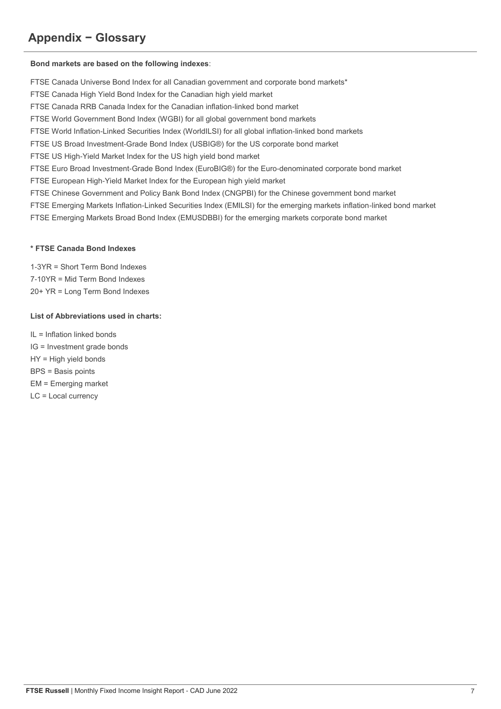# **Appendix − Glossary**

## **Bond markets are based on the following indexes**:

FTSE Canada Universe Bond Index for all Canadian government and corporate bond markets\*

FTSE Canada High Yield Bond Index for the Canadian high yield market

FTSE Canada RRB Canada Index for the Canadian inflation-linked bond market

FTSE World Government Bond Index (WGBI) for all global government bond markets

FTSE World Inflation-Linked Securities Index (WorldILSI) for all global inflation-linked bond markets

FTSE US Broad Investment-Grade Bond Index (USBIG®) for the US corporate bond market

FTSE US High-Yield Market Index for the US high yield bond market

FTSE Euro Broad Investment-Grade Bond Index (EuroBIG®) for the Euro-denominated corporate bond market

FTSE European High-Yield Market Index for the European high yield market

FTSE Chinese Government and Policy Bank Bond Index (CNGPBI) for the Chinese government bond market

FTSE Emerging Markets Inflation-Linked Securities Index (EMILSI) for the emerging markets inflation-linked bond market

FTSE Emerging Markets Broad Bond Index (EMUSDBBI) for the emerging markets corporate bond market

## **\* FTSE Canada Bond Indexes**

1-3YR = Short Term Bond Indexes 7-10YR = Mid Term Bond Indexes 20+ YR = Long Term Bond Indexes

# **List of Abbreviations used in charts:**

IL = Inflation linked bonds IG = Investment grade bonds HY = High yield bonds BPS = Basis points EM = Emerging market LC = Local currency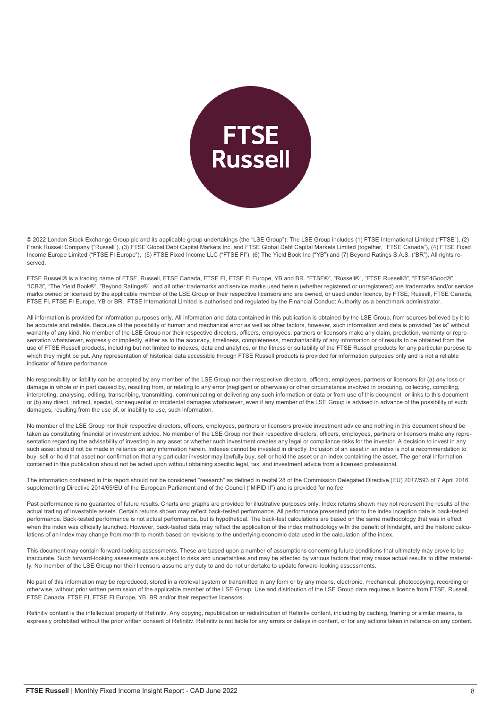

© 2022 London Stock Exchange Group plc and its applicable group undertakings (the "LSE Group"). The LSE Group includes (1) FTSE International Limited ("FTSE"), (2) Frank Russell Company ("Russell"), (3) FTSE Global Debt Capital Markets Inc. and FTSE Global Debt Capital Markets Limited (together, "FTSE Canada"), (4) FTSE Fixed Income Europe Limited ("FTSE FI Europe"), (5) FTSE Fixed Income LLC ("FTSE FI"), (6) The Yield Book Inc ("YB") and (7) Beyond Ratings S.A.S. ("BR"). All rights reserved.

FTSE Russell® is a trading name of FTSE, Russell, FTSE Canada, FTSE FI, FTSE FI Europe, YB and BR. "FTSE®", "Russell®", "FTSE Russell®", "FTSE4Good®", "ICB®", "The Yield Book®", "Beyond Ratings®" and all other trademarks and service marks used herein (whether registered or unregistered) are trademarks and/or service marks owned or licensed by the applicable member of the LSE Group or their respective licensors and are owned, or used under licence, by FTSE, Russell, FTSE Canada, FTSE FI, FTSE FI Europe, YB or BR. FTSE International Limited is authorised and regulated by the Financial Conduct Authority as a benchmark administrator.

All information is provided for information purposes only. All information and data contained in this publication is obtained by the LSE Group, from sources believed by it to be accurate and reliable. Because of the possibility of human and mechanical error as well as other factors, however, such information and data is provided "as is" without warranty of any kind. No member of the LSE Group nor their respective directors, officers, employees, partners or licensors make any claim, prediction, warranty or representation whatsoever, expressly or impliedly, either as to the accuracy, timeliness, completeness, merchantability of any information or of results to be obtained from the use of FTSE Russell products, including but not limited to indexes, data and analytics, or the fitness or suitability of the FTSE Russell products for any particular purpose to which they might be put. Any representation of historical data accessible through FTSE Russell products is provided for information purposes only and is not a reliable indicator of future performance.

No responsibility or liability can be accepted by any member of the LSE Group nor their respective directors, officers, employees, partners or licensors for (a) any loss or damage in whole or in part caused by, resulting from, or relating to any error (negligent or otherwise) or other circumstance involved in procuring, collecting, compiling, interpreting, analysing, editing, transcribing, transmitting, communicating or delivering any such information or data or from use of this document or links to this document or (b) any direct, indirect, special, consequential or incidental damages whatsoever, even if any member of the LSE Group is advised in advance of the possibility of such damages, resulting from the use of, or inability to use, such information.

No member of the LSE Group nor their respective directors, officers, employees, partners or licensors provide investment advice and nothing in this document should be taken as constituting financial or investment advice. No member of the LSE Group nor their respective directors, officers, employees, partners or licensors make any representation regarding the advisability of investing in any asset or whether such investment creates any legal or compliance risks for the investor. A decision to invest in any such asset should not be made in reliance on any information herein. Indexes cannot be invested in directly, Inclusion of an asset in an index is not a recommendation to buy, sell or hold that asset nor confirmation that any particular investor may lawfully buy, sell or hold the asset or an index containing the asset. The general information contained in this publication should not be acted upon without obtaining specific legal, tax, and investment advice from a licensed professional.

The information contained in this report should not be considered "research" as defined in recital 28 of the Commission Delegated Directive (EU) 2017/593 of 7 April 2016 supplementing Directive 2014/65/EU of the European Parliament and of the Council ("MiFID II") and is provided for no fee.

Past performance is no guarantee of future results. Charts and graphs are provided for illustrative purposes only. Index returns shown may not represent the results of the actual trading of investable assets. Certain returns shown may reflect back-tested performance. All performance presented prior to the index inception date is back-tested performance. Back-tested performance is not actual performance, but is hypothetical. The back-test calculations are based on the same methodology that was in effect when the index was officially launched. However, back-tested data may reflect the application of the index methodology with the benefit of hindsight, and the historic calculations of an index may change from month to month based on revisions to the underlying economic data used in the calculation of the index.

This document may contain forward-looking assessments. These are based upon a number of assumptions concerning future conditions that ultimately may prove to be inaccurate. Such forward-looking assessments are subject to risks and uncertainties and may be affected by various factors that may cause actual results to differ materially. No member of the LSE Group nor their licensors assume any duty to and do not undertake to update forward-looking assessments.

No part of this information may be reproduced, stored in a retrieval system or transmitted in any form or by any means, electronic, mechanical, photocopying, recording or otherwise, without prior written permission of the applicable member of the LSE Group. Use and distribution of the LSE Group data requires a licence from FTSE, Russell, FTSE Canada, FTSE FI, FTSE FI Europe, YB, BR and/or their respective licensors.

Refinitiv content is the intellectual property of Refinitiv. Any copying, republication or redistribution of Refinitiv content, including by caching, framing or similar means, is expressly prohibited without the prior written consent of Refinitiv. Refinitiv is not liable for any errors or delays in content, or for any actions taken in reliance on any content.